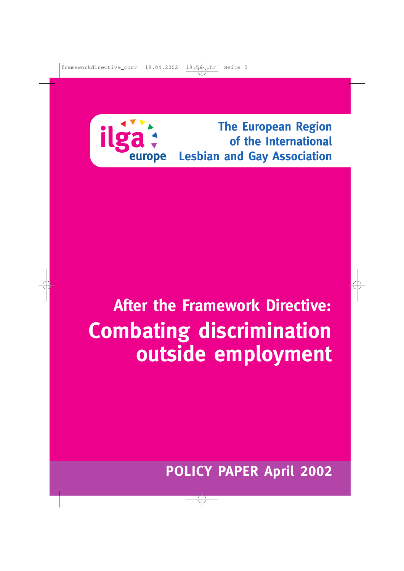

# **After the Framework Directive: Combating discrimination outside employment**

**POLICY PAPER April 2002**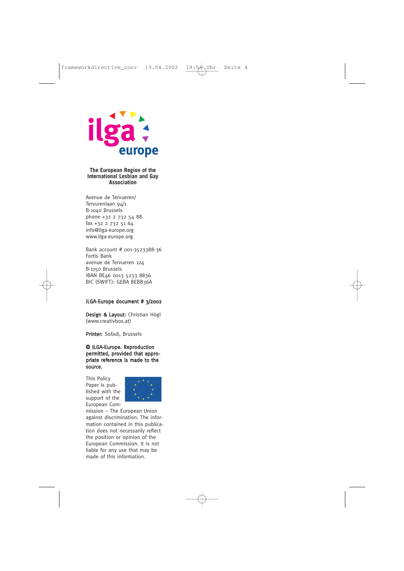

#### **The European Region of the International Lesbian and Gay Association**

Avenue de Tervueren/ Tervurenlaan 94/1 B-1040 Brussels phone +32 2 732 54 88 fax +32 2 732 51 64 info@ilga-europe.org www.ilga-europe.org

Bank account # 001-3523388-36 Fortis Bank avenue de Tervueren 124 B-1150 Brussels IBAN BE46 0013 5233 8836 BIC (SWIFT): GEBA BEBB36A

#### ILGA-Europe document # 3/2002

Design & Lavout: Christian Högl (www.creativbox.at)

Printer: Sofadi, Brussels

#### © ILGA-Europe. Reproduction permitted, provided that appropriate reference is made to the source.

This Policy Paper is published with the support of the European Com-



mission – The European Union against discrimination. The information contained in this publication does not necessarily reflect the position or opinion of the European Commission. It is not liable for any use that may be made of this information.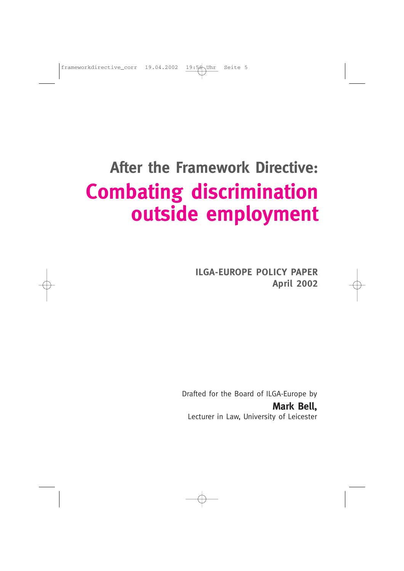# **After the Framework Directive: Combating discrimination outside employment**

**ILGA-EUROPE POLICY PAPER April 2002**

Drafted for the Board of ILGA-Europe by **Mark Bell,**  Lecturer in Law, University of Leicester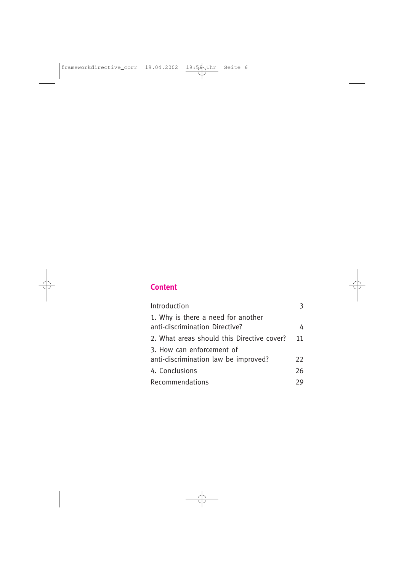# **Content**

| Introduction                                                         | 3  |
|----------------------------------------------------------------------|----|
| 1. Why is there a need for another<br>anti-discrimination Directive? | 4  |
| 2. What areas should this Directive cover?                           | 11 |
| 3. How can enforcement of<br>anti-discrimination law be improved?    | 22 |
| 4. Conclusions                                                       | 26 |
| Recommendations                                                      | 29 |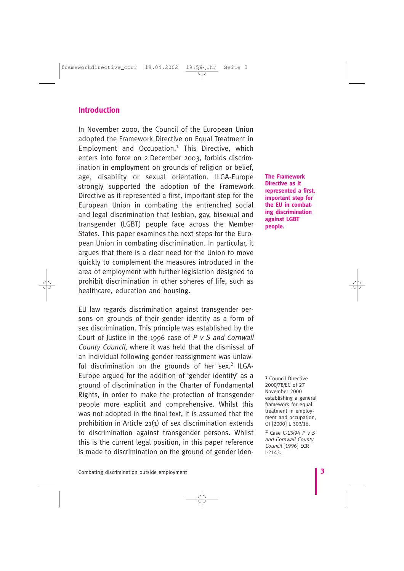## **Introduction**

In November 2000, the Council of the European Union adopted the Framework Directive on Equal Treatment in Employment and Occupation. $1$  This Directive, which enters into force on 2 December 2003, forbids discrimination in employment on grounds of religion or belief, age, disability or sexual orientation. ILGA-Europe strongly supported the adoption of the Framework Directive as it represented a first, important step for the European Union in combating the entrenched social and legal discrimination that lesbian, gay, bisexual and transgender (LGBT) people face across the Member States. This paper examines the next steps for the European Union in combating discrimination. In particular, it argues that there is a clear need for the Union to move quickly to complement the measures introduced in the area of employment with further legislation designed to prohibit discrimination in other spheres of life, such as healthcare, education and housing.

EU law regards discrimination against transgender persons on grounds of their gender identity as a form of sex discrimination. This principle was established by the Court of Justice in the 1996 case of  $P$  v  $S$  and Cornwall County Council, where it was held that the dismissal of an individual following gender reassignment was unlawful discrimination on the grounds of her sex. $2$  ILGA-Europe argued for the addition of 'gender identity' as a ground of discrimination in the Charter of Fundamental Rights, in order to make the protection of transgender people more explicit and comprehensive. Whilst this was not adopted in the final text, it is assumed that the prohibition in Article 21(1) of sex discrimination extends to discrimination against transgender persons. Whilst this is the current legal position, in this paper reference is made to discrimination on the ground of gender iden**The Framework Directive as it represented a first, important step for the EU in combating discrimination against LGBT people.**

1 Council Directive 2000/78/EC of 27 November 2000 establishing a general framework for equal treatment in employment and occupation, OJ [2000] L 303/16.

2 Case C-13/94 P v S and Cornwall County Council [1996] ECR I-2143.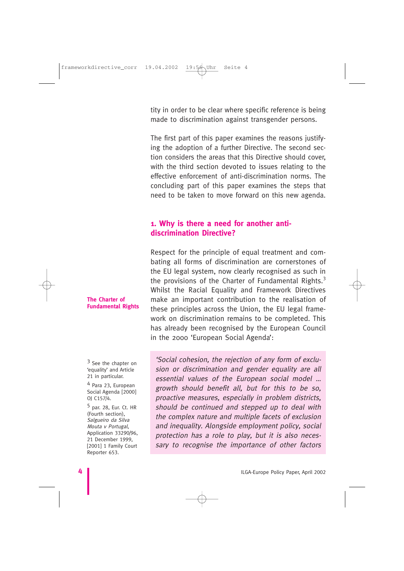tity in order to be clear where specific reference is being made to discrimination against transgender persons.

The first part of this paper examines the reasons justifying the adoption of a further Directive. The second section considers the areas that this Directive should cover, with the third section devoted to issues relating to the effective enforcement of anti-discrimination norms. The concluding part of this paper examines the steps that need to be taken to move forward on this new agenda.

# **1. Why is there a need for another antidiscrimination Directive?**

Respect for the principle of equal treatment and combating all forms of discrimination are cornerstones of the EU legal system, now clearly recognised as such in the provisions of the Charter of Fundamental Rights.<sup>3</sup> Whilst the Racial Equality and Framework Directives make an important contribution to the realisation of these principles across the Union, the EU legal framework on discrimination remains to be completed. This has already been recognised by the European Council in the 2000 'European Social Agenda':

'Social cohesion, the rejection of any form of exclusion or discrimination and gender equality are all essential values of the European social model … growth should benefit all, but for this to be so, proactive measures, especially in problem districts, should be continued and stepped up to deal with the complex nature and multiple facets of exclusion and inequality. Alongside employment policy, social protection has a role to play, but it is also neces-

sary to recognise the importance of other factors

#### **The Charter of Fundamental Rights**

<sup>3</sup> See the chapter on 'equality' and Article 21 in particular.

4 Para 23, European Social Agenda [2000] OJ C157/4.

5 par. 28, Eur. Ct. HR (Fourth section), Salgueiro da Silva Mouta v Portugal, Application 33290/96, 21 December 1999, [2001] 1 Family Court Reporter 653.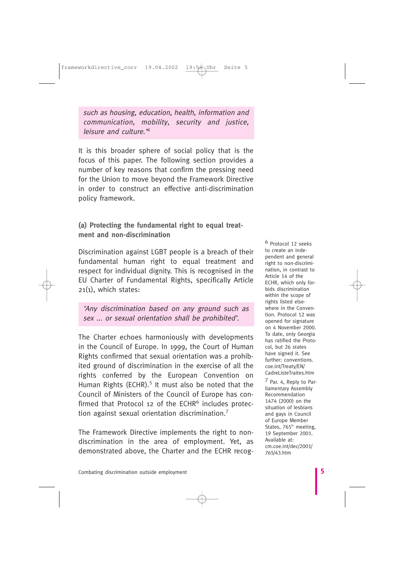such as housing, education, health, information and communication, mobility, security and justice, leisure and culture.'<sup>4</sup>

It is this broader sphere of social policy that is the focus of this paper. The following section provides a number of key reasons that confirm the pressing need for the Union to move beyond the Framework Directive in order to construct an effective anti-discrimination policy framework.

## **(a) Protecting the fundamental right to equal treatment and non-discrimination**

Discrimination against LGBT people is a breach of their fundamental human right to equal treatment and respect for individual dignity. This is recognised in the EU Charter of Fundamental Rights, specifically Article 21(1), which states:

'Any discrimination based on any ground such as sex ... or sexual orientation shall be prohibited'.

The Charter echoes harmoniously with developments in the Council of Europe. In 1999, the Court of Human Rights confirmed that sexual orientation was a prohibited ground of discrimination in the exercise of all the rights conferred by the European Convention on Human Rights (ECHR).<sup>5</sup> It must also be noted that the Council of Ministers of the Council of Europe has confirmed that Protocol 12 of the  $ECHR<sup>6</sup>$  includes protection against sexual orientation discrimination.<sup>7</sup>

The Framework Directive implements the right to nondiscrimination in the area of employment. Yet, as demonstrated above, the Charter and the ECHR recog-

6 Protocol 12 seeks to create an independent and general right to non-discrimination, in contrast to Article 14 of the ECHR, which only forbids discrimination within the scope of rights listed elsewhere in the Convention. Protocol 12 was opened for signature on 4 November 2000. To date, only Georgia has ratified the Protocol, but 26 states have signed it. See further: conventions. coe.int/Treaty/EN/ CadreListeTraites.htm

7 Par. 4, Reply to Parliamentary Assembly Recommendation 1474 (2000) on the situation of lesbians and gays in Council of Europe Member States, 765<sup>th</sup> meeting, 19 September 2001. Available at: cm.coe.int/dec/2001/ 765/43.htm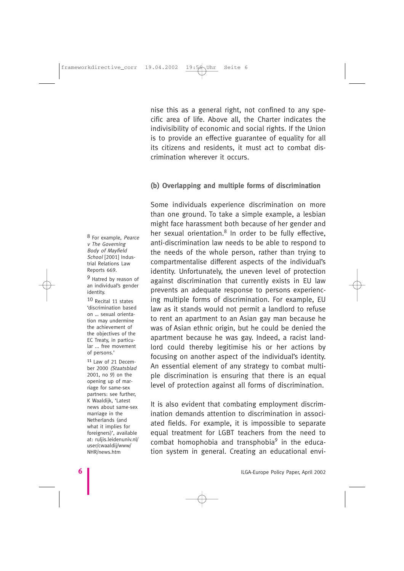nise this as a general right, not confined to any specific area of life. Above all, the Charter indicates the indivisibility of economic and social rights. If the Union is to provide an effective guarantee of equality for all its citizens and residents, it must act to combat discrimination wherever it occurs.

#### **(b) Overlapping and multiple forms of discrimination**

Some individuals experience discrimination on more than one ground. To take a simple example, a lesbian might face harassment both because of her gender and her sexual orientation. $8$  In order to be fully effective, anti-discrimination law needs to be able to respond to the needs of the whole person, rather than trying to compartmentalise different aspects of the individual's identity. Unfortunately, the uneven level of protection against discrimination that currently exists in EU law prevents an adequate response to persons experiencing multiple forms of discrimination. For example, EU law as it stands would not permit a landlord to refuse to rent an apartment to an Asian gay man because he was of Asian ethnic origin, but he could be denied the apartment because he was gay. Indeed, a racist landlord could thereby legitimise his or her actions by focusing on another aspect of the individual's identity. An essential element of any strategy to combat multiple discrimination is ensuring that there is an equal level of protection against all forms of discrimination.

It is also evident that combating employment discrimination demands attention to discrimination in associated fields. For example, it is impossible to separate equal treatment for LGBT teachers from the need to combat homophobia and transphobia $9$  in the education system in general. Creating an educational envi-

8 For example, Pearce v The Governing Body of Mayfield School [2001] Industrial Relations Law Reports 669.

9 Hatred by reason of an individual's gender identity.

10 Recital 11 states 'discrimination based on … sexual orientation may undermine the achievement of the objectives of the EC Treaty, in particular ... free movement of persons.'

11 Law of 21 December 2000 (Staatsblad 2001, no 9) on the opening up of marriage for same-sex partners: see further, K Waaldijk, 'Latest news about same-sex marriage in the Netherlands (and what it implies for foreigners)', available at: ruljis.leidenuniv.nl/ user/cwaaldij/www/ NHR/news.htm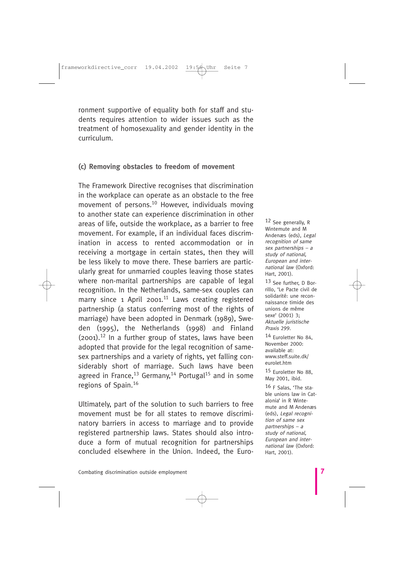ronment supportive of equality both for staff and students requires attention to wider issues such as the treatment of homosexuality and gender identity in the curriculum.

#### **(c) Removing obstacles to freedom of movement**

The Framework Directive recognises that discrimination in the workplace can operate as an obstacle to the free movement of persons.<sup>10</sup> However, individuals moving to another state can experience discrimination in other areas of life, outside the workplace, as a barrier to free movement. For example, if an individual faces discrimination in access to rented accommodation or in receiving a mortgage in certain states, then they will be less likely to move there. These barriers are particularly great for unmarried couples leaving those states where non-marital partnerships are capable of legal recognition. In the Netherlands, same-sex couples can marry since 1 April 2001.<sup>11</sup> Laws creating registered partnership (a status conferring most of the rights of marriage) have been adopted in Denmark (1989), Sweden (1995), the Netherlands (1998) and Finland  $(2001).$ <sup>12</sup> In a further group of states, laws have been adopted that provide for the legal recognition of samesex partnerships and a variety of rights, yet falling considerably short of marriage. Such laws have been agreed in France,<sup>13</sup> Germany,<sup>14</sup> Portugal<sup>15</sup> and in some regions of Spain.<sup>16</sup>

Ultimately, part of the solution to such barriers to free movement must be for all states to remove discriminatory barriers in access to marriage and to provide registered partnership laws. States should also introduce a form of mutual recognition for partnerships concluded elsewhere in the Union. Indeed, the Euro-

12 See generally, R Wintemute and M Andenæs (eds), Legal recognition of same sex partnerships – a study of national, European and international law (Oxford: Hart, 2001).

13 See further, D Borrillo, 'Le Pacte civil de solidarité: une reconnaissance timide des unions de même sexe' (2001) 3; Aktuelle juristische Praxis 299.

14 Euroletter No 84, November 2000: available at: www.steff.suite.dk/ eurolet.htm

15 Euroletter No 88, May 2001, ibid.

16 F Salas, 'The stable unions law in Catalonia' in R Wintemute and M Andenæs (eds), Legal recognition of same sex partnerships – a study of national, European and international law (Oxford: Hart, 2001).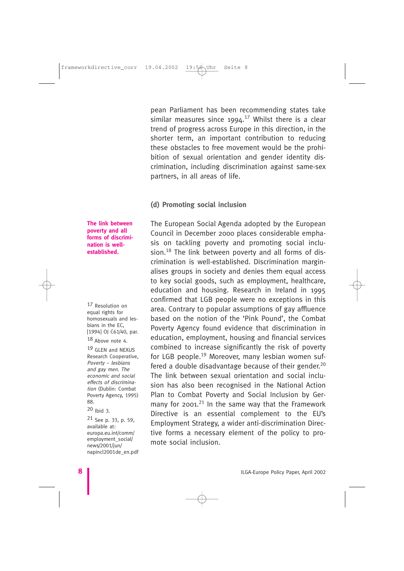pean Parliament has been recommending states take similar measures since  $1994$ .<sup>17</sup> Whilst there is a clear trend of progress across Europe in this direction, in the shorter term, an important contribution to reducing these obstacles to free movement would be the prohibition of sexual orientation and gender identity discrimination, including discrimination against same-sex partners, in all areas of life.

#### **(d) Promoting social inclusion**

The European Social Agenda adopted by the European Council in December 2000 places considerable emphasis on tackling poverty and promoting social inclusion.<sup>18</sup> The link between poverty and all forms of discrimination is well-established. Discrimination marginalises groups in society and denies them equal access to key social goods, such as employment, healthcare, education and housing. Research in Ireland in 1995 confirmed that LGB people were no exceptions in this area. Contrary to popular assumptions of gay affluence based on the notion of the 'Pink Pound', the Combat Poverty Agency found evidence that discrimination in education, employment, housing and financial services combined to increase significantly the risk of poverty for LGB people.<sup>19</sup> Moreover, many lesbian women suffered a double disadvantage because of their gender.<sup>20</sup> The link between sexual orientation and social inclusion has also been recognised in the National Action Plan to Combat Poverty and Social Inclusion by Germany for 2001.<sup>21</sup> In the same way that the Framework Directive is an essential complement to the EU's Employment Strategy, a wider anti-discrimination Directive forms a necessary element of the policy to promote social inclusion.

#### **The link between poverty and all forms of discrimination is wellestablished.**

17 Resolution on equal rights for homosexuals and lesbians in the EC, [1994] OJ C61/40, par.

18 Above note 4.

19 GLEN and NEXUS Research Cooperative, Poverty – lesbians and gay men. The economic and social effects of discrimination (Dublin: Combat Poverty Agency, 1995) 88.

20 Ibid 3.

21 See p. 33, p. 59, available at: europa.eu.int/comm/ employment\_social/ news/2001/jun/ napincl2001de\_en.pdf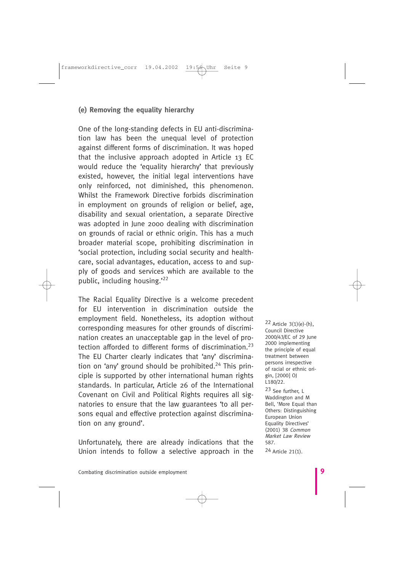# **(e) Removing the equality hierarchy**

One of the long-standing defects in EU anti-discrimination law has been the unequal level of protection against different forms of discrimination. It was hoped that the inclusive approach adopted in Article 13 EC would reduce the 'equality hierarchy' that previously existed, however, the initial legal interventions have only reinforced, not diminished, this phenomenon. Whilst the Framework Directive forbids discrimination in employment on grounds of religion or belief, age, disability and sexual orientation, a separate Directive was adopted in June 2000 dealing with discrimination on grounds of racial or ethnic origin. This has a much broader material scope, prohibiting discrimination in 'social protection, including social security and healthcare, social advantages, education, access to and supply of goods and services which are available to the public, including housing.'<sup>22</sup>

The Racial Equality Directive is a welcome precedent for EU intervention in discrimination outside the employment field. Nonetheless, its adoption without corresponding measures for other grounds of discrimination creates an unacceptable gap in the level of protection afforded to different forms of discrimination.<sup>23</sup> The EU Charter clearly indicates that 'any' discrimination on 'any' ground should be prohibited.<sup>24</sup> This principle is supported by other international human rights standards. In particular, Article 26 of the International Covenant on Civil and Political Rights requires all signatories to ensure that the law guarantees 'to all persons equal and effective protection against discrimination on any ground'.

Unfortunately, there are already indications that the Union intends to follow a selective approach in the

22 Article 3(1)(e)-(h), Council Directive 2000/43/EC of 29 June 2000 implementing the principle of equal treatment between persons irrespective of racial or ethnic origin, [2000] OJ L180/22.

23 See further, L Waddington and M Bell, 'More Equal than Others: Distinguishing European Union Equality Directives' (2001) 38 Common Market Law Review 587.

24 Article 21(1).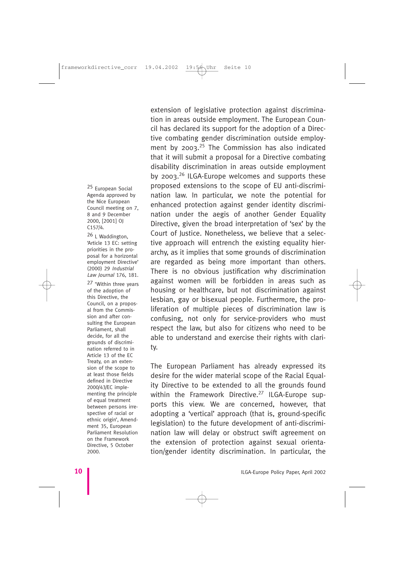25 European Social Agenda approved by the Nice European Council meeting on 7, 8 and 9 December 2000, [2001] OJ C157/4.

26 L Waddington, 'Article 13 EC: setting priorities in the proposal for a horizontal employment Directive' (2000) 29 Industrial Law Journal 176, 181.

27 'Within three years of the adoption of this Directive, the Council, on a proposal from the Commission and after consulting the European Parliament, shall decide, for all the grounds of discrimination referred to in Article 13 of the EC Treaty, on an extension of the scope to at least those fields defined in Directive 2000/43/EC implementing the principle of equal treatment between persons irrespective of racial or ethnic origin', Amendment 35, European Parliament Resolution on the Framework Directive, 5 October 2000.

extension of legislative protection against discrimination in areas outside employment. The European Council has declared its support for the adoption of a Directive combating gender discrimination outside employment by  $2003$ <sup>25</sup> The Commission has also indicated that it will submit a proposal for a Directive combating disability discrimination in areas outside employment by  $2003.<sup>26</sup>$  ILGA-Europe welcomes and supports these proposed extensions to the scope of EU anti-discrimination law. In particular, we note the potential for enhanced protection against gender identity discrimination under the aegis of another Gender Equality Directive, given the broad interpretation of 'sex' by the Court of Justice. Nonetheless, we believe that a selective approach will entrench the existing equality hierarchy, as it implies that some grounds of discrimination are regarded as being more important than others. There is no obvious justification why discrimination against women will be forbidden in areas such as housing or healthcare, but not discrimination against lesbian, gay or bisexual people. Furthermore, the proliferation of multiple pieces of discrimination law is confusing, not only for service-providers who must respect the law, but also for citizens who need to be able to understand and exercise their rights with clarity.

The European Parliament has already expressed its desire for the wider material scope of the Racial Equality Directive to be extended to all the grounds found within the Framework Directive.<sup>27</sup> ILGA-Europe supports this view. We are concerned, however, that adopting a 'vertical' approach (that is, ground-specific legislation) to the future development of anti-discrimination law will delay or obstruct swift agreement on the extension of protection against sexual orientation/gender identity discrimination. In particular, the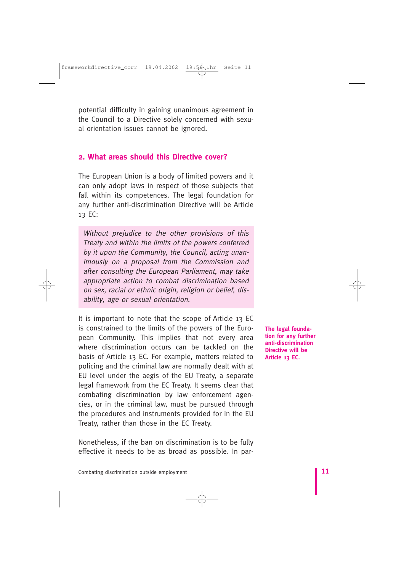potential difficulty in gaining unanimous agreement in the Council to a Directive solely concerned with sexual orientation issues cannot be ignored.

## **2. What areas should this Directive cover?**

The European Union is a body of limited powers and it can only adopt laws in respect of those subjects that fall within its competences. The legal foundation for any further anti-discrimination Directive will be Article 13 EC:

Without prejudice to the other provisions of this Treaty and within the limits of the powers conferred by it upon the Community, the Council, acting unanimously on a proposal from the Commission and after consulting the European Parliament, may take appropriate action to combat discrimination based on sex, racial or ethnic origin, religion or belief, disability, age or sexual orientation.

It is important to note that the scope of Article 13 EC is constrained to the limits of the powers of the European Community. This implies that not every area where discrimination occurs can be tackled on the basis of Article 13 EC. For example, matters related to policing and the criminal law are normally dealt with at EU level under the aegis of the EU Treaty, a separate legal framework from the EC Treaty. It seems clear that combating discrimination by law enforcement agencies, or in the criminal law, must be pursued through the procedures and instruments provided for in the EU Treaty, rather than those in the EC Treaty.

Nonetheless, if the ban on discrimination is to be fully effective it needs to be as broad as possible. In par**The legal foundation for any further anti-discrimination Directive will be Article 13 EC.**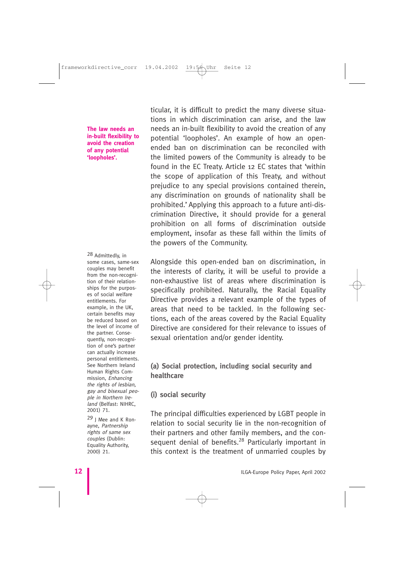#### **The law needs an in-built flexibility to avoid the creation of any potential 'loopholes'.**

28 Admittedly, in some cases, same-sex couples may benefit from the non-recognition of their relationships for the purposes of social welfare entitlements. For example, in the UK, certain benefits may be reduced based on the level of income of the partner. Consequently, non-recognition of one's partner can actually increase personal entitlements. See Northern Ireland Human Rights Commission, Enhancing the rights of lesbian, gay and bisexual people in Northern Ireland (Belfast: NIHRC, 2001) 71.

29 J Mee and K Ronayne, Partnership rights of same sex couples (Dublin: Equality Authority, 2000) 21.

ticular, it is difficult to predict the many diverse situations in which discrimination can arise, and the law needs an in-built flexibility to avoid the creation of any potential 'loopholes'. An example of how an openended ban on discrimination can be reconciled with the limited powers of the Community is already to be found in the EC Treaty. Article 12 EC states that 'within the scope of application of this Treaty, and without prejudice to any special provisions contained therein, any discrimination on grounds of nationality shall be prohibited.' Applying this approach to a future anti-discrimination Directive, it should provide for a general prohibition on all forms of discrimination outside employment, insofar as these fall within the limits of the powers of the Community.

Alongside this open-ended ban on discrimination, in the interests of clarity, it will be useful to provide a non-exhaustive list of areas where discrimination is specifically prohibited. Naturally, the Racial Equality Directive provides a relevant example of the types of areas that need to be tackled. In the following sections, each of the areas covered by the Racial Equality Directive are considered for their relevance to issues of sexual orientation and/or gender identity.

## **(a) Social protection, including social security and healthcare**

#### **(i) social security**

The principal difficulties experienced by LGBT people in relation to social security lie in the non-recognition of their partners and other family members, and the consequent denial of benefits.<sup>28</sup> Particularly important in this context is the treatment of unmarried couples by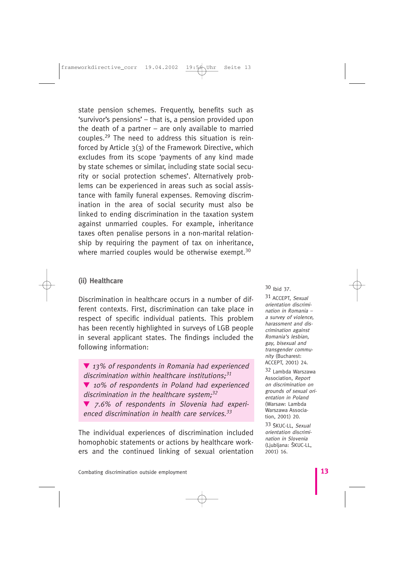state pension schemes. Frequently, benefits such as 'survivor's pensions' – that is, a pension provided upon the death of a partner – are only available to married couples.<sup>29</sup> The need to address this situation is reinforced by Article 3(3) of the Framework Directive, which excludes from its scope 'payments of any kind made by state schemes or similar, including state social security or social protection schemes'. Alternatively problems can be experienced in areas such as social assistance with family funeral expenses. Removing discrimination in the area of social security must also be linked to ending discrimination in the taxation system against unmarried couples. For example, inheritance taxes often penalise persons in a non-marital relationship by requiring the payment of tax on inheritance, where married couples would be otherwise exempt.<sup>30</sup>

#### **(ii) Healthcare**

Discrimination in healthcare occurs in a number of different contexts. First, discrimination can take place in respect of specific individual patients. This problem has been recently highlighted in surveys of LGB people in several applicant states. The findings included the following information:

▼ 13% of respondents in Romania had experienced discrimination within healthcare institutions: $31$ ▼ 10% of respondents in Poland had experienced discrimination in the healthcare system; $32$ ▼ 7.6% of respondents in Slovenia had experienced discrimination in health care services. $33$ 

The individual experiences of discrimination included homophobic statements or actions by healthcare workers and the continued linking of sexual orientation 30 Ibid 37.

31 ACCEPT, Sexual orientation discrimination in Romania – a survey of violence, harassment and discrimination against Romania's lesbian, gay, bisexual and transgender community (Bucharest: ACCEPT, 2001) 24.

32 Lambda Warszawa Association, Report on discrimination on grounds of sexual orientation in Poland (Warsaw: Lambda Warszawa Association, 2001) 20.

33 ŠKUC-LL, Sexual orientation discrimination in Slovenia (Liubliana: ŠKUC-LL, 2001) 16.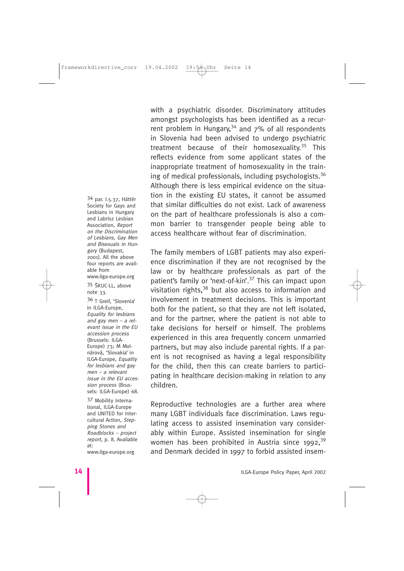34 par. I.5.37, Háttér Society for Gays and Lesbians in Hungary and Labrisz Lesbian Association, Report on the Discrimination of Lesbians, Gay Men and Bisexuals in Hungary (Budapest, 2001). All the above four reports are available from www.ilga-europe.org

35 ŠKUC-LL, above note 33.

36 T Greif, 'Slovenia' in ILGA-Europe, Equality for lesbians and gay men – a relevant issue in the EU accession process (Brussels: ILGA-Europe) 73; M Molnárová, 'Slovakia' in ILGA-Europe, Equality for lesbians and gay men – a relevant issue in the EU accession process (Brussels: ILGA-Europe) 68.

37 Mobility International, ILGA-Europe and UNITED for Intercultural Action, Stepping Stones and Roadblocks – project report, p. 8. Available at: www.ilga-europe.org

with a psychiatric disorder. Discriminatory attitudes amongst psychologists has been identified as a recurrent problem in Hungary,  $34$  and  $7\%$  of all respondents in Slovenia had been advised to undergo psychiatric treatment because of their homosexuality.<sup>35</sup> This reflects evidence from some applicant states of the inappropriate treatment of homosexuality in the training of medical professionals, including psychologists.<sup>36</sup> Although there is less empirical evidence on the situation in the existing EU states, it cannot be assumed that similar difficulties do not exist. Lack of awareness on the part of healthcare professionals is also a common barrier to transgender people being able to access healthcare without fear of discrimination.

The family members of LGBT patients may also experience discrimination if they are not recognised by the law or by healthcare professionals as part of the patient's family or 'next-of-kin'.<sup>37</sup> This can impact upon visitation rights,<sup>38</sup> but also access to information and involvement in treatment decisions. This is important both for the patient, so that they are not left isolated, and for the partner, where the patient is not able to take decisions for herself or himself. The problems experienced in this area frequently concern unmarried partners, but may also include parental rights. If a parent is not recognised as having a legal responsibility for the child, then this can create barriers to participating in healthcare decision-making in relation to any children.

Reproductive technologies are a further area where many LGBT individuals face discrimination. Laws regulating access to assisted insemination vary considerably within Europe. Assisted insemination for single women has been prohibited in Austria since  $1992$ ,  $39$ and Denmark decided in 1997 to forbid assisted insem-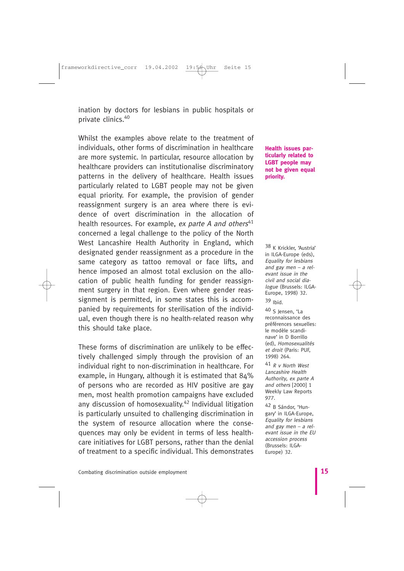ination by doctors for lesbians in public hospitals or private clinics.<sup>40</sup>

Whilst the examples above relate to the treatment of individuals, other forms of discrimination in healthcare are more systemic. In particular, resource allocation by healthcare providers can institutionalise discriminatory patterns in the delivery of healthcare. Health issues particularly related to LGBT people may not be given equal priority. For example, the provision of gender reassignment surgery is an area where there is evidence of overt discrimination in the allocation of health resources. For example, ex parte A and others $41$ concerned a legal challenge to the policy of the North West Lancashire Health Authority in England, which designated gender reassignment as a procedure in the same category as tattoo removal or face lifts, and hence imposed an almost total exclusion on the allocation of public health funding for gender reassignment surgery in that region. Even where gender reassignment is permitted, in some states this is accompanied by requirements for sterilisation of the individual, even though there is no health-related reason why this should take place.

These forms of discrimination are unlikely to be effectively challenged simply through the provision of an individual right to non-discrimination in healthcare. For example, in Hungary, although it is estimated that 84% of persons who are recorded as HIV positive are gay men, most health promotion campaigns have excluded any discussion of homosexuality. $42$  Individual litigation is particularly unsuited to challenging discrimination in the system of resource allocation where the consequences may only be evident in terms of less healthcare initiatives for LGBT persons, rather than the denial of treatment to a specific individual. This demonstrates

**Health issues particularly related to LGBT people may not be given equal priority.**

38 K Krickler, 'Austria' in ILGA-Europe (eds), Equality for lesbians and gay men – a relevant issue in the civil and social dialogue (Brussels: ILGA-Europe, 1998) 32.

39 Ibid.

40 S Jensen, 'La reconnaissance des préférences sexuelles: le modèle scandinave' in D Borrillo (ed), Homosexualités et droit (Paris: PUF, 1998) 264.

41 R v North West Lancashire Health Authority, ex parte A and others [2000] 1 Weekly Law Reports 977.

42 B Sándor, 'Hungary' in ILGA-Europe, Equality for lesbians and gay men  $-$  a relevant issue in the EU accession process (Brussels: ILGA-Europe) 32.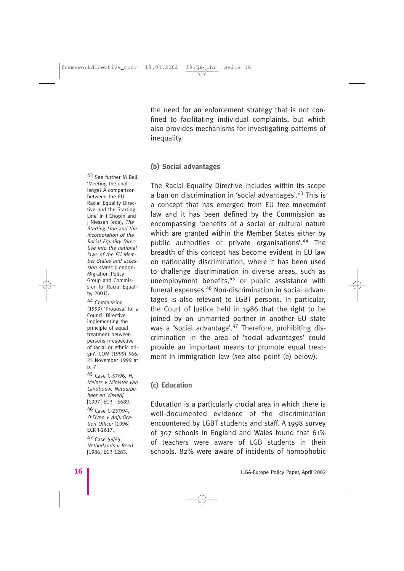the need for an enforcement strategy that is not confined to facilitating individual complaints, but which also provides mechanisms for investigating patterns of inequality.

#### **(b) Social advantages**

The Racial Equality Directive includes within its scope a ban on discrimination in 'social advantages'.<sup>43</sup> This is a concept that has emerged from EU free movement law and it has been defined by the Commission as encompassing 'benefits of a social or cultural nature which are granted within the Member States either by public authorities or private organisations'.<sup>44</sup> The breadth of this concept has become evident in EU law on nationality discrimination, where it has been used to challenge discrimination in diverse areas, such as unemployment benefits, $45$  or public assistance with funeral expenses.<sup>46</sup> Non-discrimination in social advantages is also relevant to LGBT persons. In particular, the Court of Justice held in 1986 that the right to be joined by an unmarried partner in another EU state was a 'social advantage'.<sup>47</sup> Therefore, prohibiting discrimination in the area of 'social advantages' could provide an important means to promote equal treatment in immigration law (see also point (e) below).

## **(c) Education**

Education is a particularly crucial area in which there is well-documented evidence of the discrimination encountered by LGBT students and staff. A 1998 survey of 307 schools in England and Wales found that 61% of teachers were aware of LGB students in their schools. 82% were aware of incidents of homophobic

43 See further M Bell, 'Meeting the challenge? A comparison between the EU Racial Equality Directive and the Starting Line' in I Chopin and J Niessen (eds), The Starting Line and the incorporation of the Racial Equality Directive into the national laws of the EU Member States and accession states (London: Migration Policy Group and Commission for Racial Equality, 2001).

44 Commission (1999) 'Proposal for a Council Directive implementing the principle of equal treatment between persons irrespective of racial or ethnic origin', COM (1999) 566, 25 November 1999 at p. 7.

45 Case C-57/96, H. Meints v Minister van Landbouw, Natuurbeheer en Visserij [1997] ECR I-6689.

46 Case C-237/94, O'Flynn v Adjudication Officer [1996] ECR I-2617.

47 Case 59/85, Netherlands v Reed [1986] ECR 1283.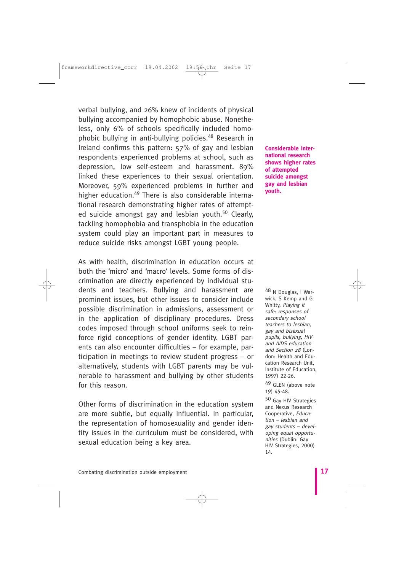verbal bullying, and 26% knew of incidents of physical bullying accompanied by homophobic abuse. Nonetheless, only 6% of schools specifically included homophobic bullying in anti-bullying policies.<sup>48</sup> Research in Ireland confirms this pattern: 57% of gay and lesbian respondents experienced problems at school, such as depression, low self-esteem and harassment. 89% linked these experiences to their sexual orientation. Moreover, 59% experienced problems in further and higher education.<sup>49</sup> There is also considerable international research demonstrating higher rates of attempted suicide amongst gay and lesbian youth.<sup>50</sup> Clearly, tackling homophobia and transphobia in the education system could play an important part in measures to reduce suicide risks amongst LGBT young people.

As with health, discrimination in education occurs at both the 'micro' and 'macro' levels. Some forms of discrimination are directly experienced by individual students and teachers. Bullying and harassment are prominent issues, but other issues to consider include possible discrimination in admissions, assessment or in the application of disciplinary procedures. Dress codes imposed through school uniforms seek to reinforce rigid conceptions of gender identity. LGBT parents can also encounter difficulties – for example, participation in meetings to review student progress – or alternatively, students with LGBT parents may be vulnerable to harassment and bullying by other students for this reason.

Other forms of discrimination in the education system are more subtle, but equally influential. In particular, the representation of homosexuality and gender identity issues in the curriculum must be considered, with sexual education being a key area.

**Considerable international research shows higher rates of attempted suicide amongst gay and lesbian youth.**

48 N Douglas, I Warwick, S Kemp and G Whitty, Playing it safe: responses of secondary school teachers to lesbian, gay and bisexual pupils, bullying, HIV and AIDS education and Section 28 (London: Health and Education Research Unit, Institute of Education, 1997) 22-26.

49 GLEN (above note 19) 45-48.

50 Gay HIV Strategies and Nexus Research Cooperative, Education – lesbian and gay students – developing equal opportunities (Dublin: Gay HIV Strategies, 2000) 14.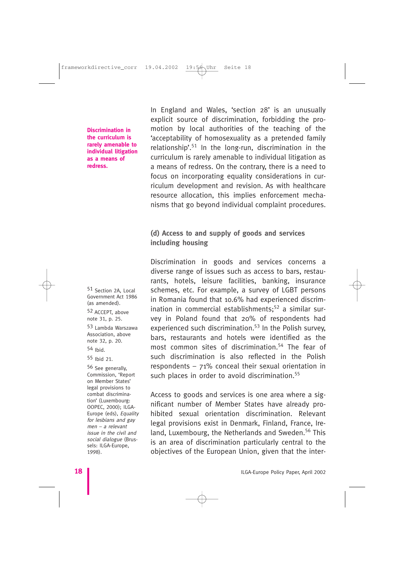#### **Discrimination in the curriculum is rarely amenable to individual litigation as a means of redress.**

51 Section 2A, Local Government Act 1986 (as amended). 52 ACCEPT, above note 31, p. 25. 53 Lambda Warszawa Association, above note 32, p. 20.

54 Ibid.

55 Ibid 21.

56 See generally, Commission, 'Report on Member States' legal provisions to combat discrimination' (Luxembourg: OOPEC, 2000); ILGA-Europe (eds), Equality for lesbians and gay men – a relevant issue in the civil and social dialogue (Brussels: ILGA-Europe, 1998).

In England and Wales, 'section 28' is an unusually explicit source of discrimination, forbidding the promotion by local authorities of the teaching of the 'acceptability of homosexuality as a pretended family relationship'.<sup>51</sup> In the long-run, discrimination in the curriculum is rarely amenable to individual litigation as a means of redress. On the contrary, there is a need to focus on incorporating equality considerations in curriculum development and revision. As with healthcare resource allocation, this implies enforcement mechanisms that go beyond individual complaint procedures.

# **(d) Access to and supply of goods and services including housing**

Discrimination in goods and services concerns a diverse range of issues such as access to bars, restaurants, hotels, leisure facilities, banking, insurance schemes, etc. For example, a survey of LGBT persons in Romania found that 10.6% had experienced discrimination in commercial establishments;<sup>52</sup> a similar survey in Poland found that 20% of respondents had experienced such discrimination.<sup>53</sup> In the Polish survey, bars, restaurants and hotels were identified as the most common sites of discrimination.<sup>54</sup> The fear of such discrimination is also reflected in the Polish respondents – 71% conceal their sexual orientation in such places in order to avoid discrimination.<sup>55</sup>

Access to goods and services is one area where a significant number of Member States have already prohibited sexual orientation discrimination. Relevant legal provisions exist in Denmark, Finland, France, Ireland, Luxembourg, the Netherlands and Sweden.<sup>56</sup> This is an area of discrimination particularly central to the objectives of the European Union, given that the inter-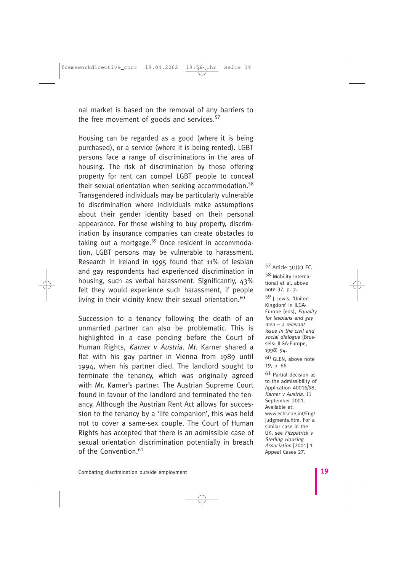nal market is based on the removal of any barriers to the free movement of goods and services.<sup>57</sup>

Housing can be regarded as a good (where it is being purchased), or a service (where it is being rented). LGBT persons face a range of discriminations in the area of housing. The risk of discrimination by those offering property for rent can compel LGBT people to conceal their sexual orientation when seeking accommodation.<sup>58</sup> Transgendered individuals may be particularly vulnerable to discrimination where individuals make assumptions about their gender identity based on their personal appearance. For those wishing to buy property, discrimination by insurance companies can create obstacles to taking out a mortgage.<sup>59</sup> Once resident in accommodation, LGBT persons may be vulnerable to harassment. Research in Ireland in 1995 found that 11% of lesbian and gay respondents had experienced discrimination in housing, such as verbal harassment. Significantly, 43% felt they would experience such harassment, if people living in their vicinity knew their sexual orientation.<sup>60</sup>

Succession to a tenancy following the death of an unmarried partner can also be problematic. This is highlighted in a case pending before the Court of Human Rights, Karner v Austria. Mr. Karner shared a flat with his gay partner in Vienna from 1989 until 1994, when his partner died. The landlord sought to terminate the tenancy, which was originally agreed with Mr. Karner's partner. The Austrian Supreme Court found in favour of the landlord and terminated the tenancy. Although the Austrian Rent Act allows for succession to the tenancy by a 'life companion', this was held not to cover a same-sex couple. The Court of Human Rights has accepted that there is an admissible case of sexual orientation discrimination potentially in breach of the Convention  $61$ 

 $57$  Article  $3(1)(c)$  EC. 58 Mobility International et al, above note 37, p. 7. 59 J Lewis, 'United Kingdom' in ILGA-Europe (eds), Equality for lesbians and gay men – a relevant issue in the civil and social dialogue (Brussels: ILGA-Europe, 1998) 94. 60 GLEN, above note 19, p. 66. 61 Partial decision as to the admissibility of Application 40016/98, Karner v Austria, 11 September 2001. Available at: www.echr.coe.int/Eng/ Judgments.htm. For a similar case in the UK, see Fitzpatrick v Sterling Housing Association [2001] 1

Appeal Cases 27.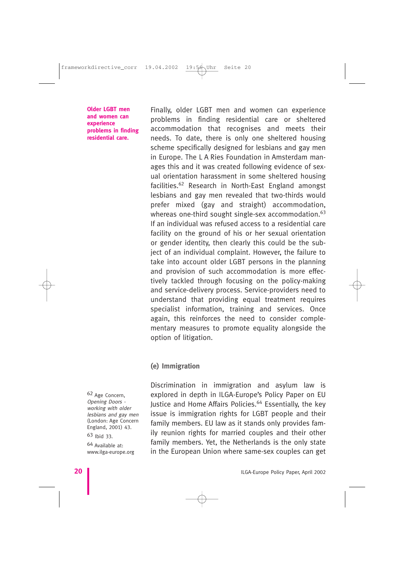**Older LGBT men and women can experience problems in finding residential care.**

Finally, older LGBT men and women can experience problems in finding residential care or sheltered accommodation that recognises and meets their needs. To date, there is only one sheltered housing scheme specifically designed for lesbians and gay men in Europe. The L A Ries Foundation in Amsterdam manages this and it was created following evidence of sexual orientation harassment in some sheltered housing facilities.<sup>62</sup> Research in North-East England amongst lesbians and gay men revealed that two-thirds would prefer mixed (gay and straight) accommodation, whereas one-third sought single-sex accommodation.<sup>63</sup> If an individual was refused access to a residential care facility on the ground of his or her sexual orientation or gender identity, then clearly this could be the subject of an individual complaint. However, the failure to take into account older LGBT persons in the planning and provision of such accommodation is more effectively tackled through focusing on the policy-making and service-delivery process. Service-providers need to understand that providing equal treatment requires specialist information, training and services. Once again, this reinforces the need to consider complementary measures to promote equality alongside the option of litigation.

#### **(e) Immigration**

Discrimination in immigration and asylum law is explored in depth in ILGA-Europe's Policy Paper on EU Justice and Home Affairs Policies.<sup>64</sup> Essentially, the key issue is immigration rights for LGBT people and their family members. EU law as it stands only provides family reunion rights for married couples and their other family members. Yet, the Netherlands is the only state in the European Union where same-sex couples can get

62 Age Concern, Opening Doors working with older lesbians and gay men (London: Age Concern England, 2001) 43.

63 Ibid 33.

64 Available at: www.ilga-europe.org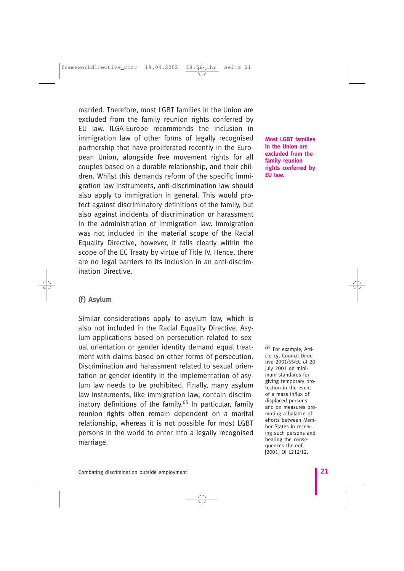married. Therefore, most LGBT families in the Union are excluded from the family reunion rights conferred by EU law. ILGA-Europe recommends the inclusion in immigration law of other forms of legally recognised partnership that have proliferated recently in the European Union, alongside free movement rights for all couples based on a durable relationship, and their children. Whilst this demands reform of the specific immigration law instruments, anti-discrimination law should also apply to immigration in general. This would protect against discriminatory definitions of the family, but also against incidents of discrimination or harassment in the administration of immigration law. Immigration was not included in the material scope of the Racial Equality Directive, however, it falls clearly within the scope of the EC Treaty by virtue of Title IV. Hence, there are no legal barriers to its inclusion in an anti-discrimination Directive.

**Most LGBT families in the Union are excluded from the family reunion rights conferred by EU law.**

## **(f) Asylum**

Similar considerations apply to asylum law, which is also not included in the Racial Equality Directive. Asylum applications based on persecution related to sexual orientation or gender identity demand equal treatment with claims based on other forms of persecution. Discrimination and harassment related to sexual orientation or gender identity in the implementation of asylum law needs to be prohibited. Finally, many asylum law instruments, like immigration law, contain discriminatory definitions of the family.<sup>65</sup> In particular, family reunion rights often remain dependent on a marital relationship, whereas it is not possible for most LGBT persons in the world to enter into a legally recognised marriage.

65 For example, Article 15, Council Directive 2001/55/EC of 20 July 2001 on minimum standards for giving temporary protection in the event of a mass influx of displaced persons and on measures promoting a balance of efforts between Member States in receiving such persons and bearing the consequences thereof, [2001] OJ L212/12.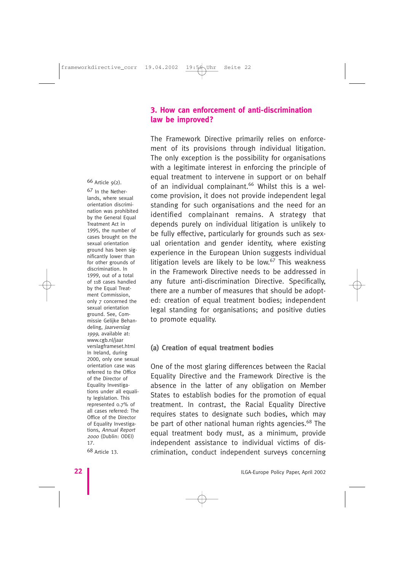## **3. How can enforcement of anti-discrimination law be improved?**

The Framework Directive primarily relies on enforcement of its provisions through individual litigation. The only exception is the possibility for organisations with a legitimate interest in enforcing the principle of equal treatment to intervene in support or on behalf of an individual complainant.<sup>66</sup> Whilst this is a welcome provision, it does not provide independent legal standing for such organisations and the need for an identified complainant remains. A strategy that depends purely on individual litigation is unlikely to be fully effective, particularly for grounds such as sexual orientation and gender identity, where existing experience in the European Union suggests individual litigation levels are likely to be low.<sup>67</sup> This weakness in the Framework Directive needs to be addressed in any future anti-discrimination Directive. Specifically, there are a number of measures that should be adopted: creation of equal treatment bodies; independent legal standing for organisations; and positive duties to promote equality.

#### **(a) Creation of equal treatment bodies**

One of the most glaring differences between the Racial Equality Directive and the Framework Directive is the absence in the latter of any obligation on Member States to establish bodies for the promotion of equal treatment. In contrast, the Racial Equality Directive requires states to designate such bodies, which may be part of other national human rights agencies.<sup>68</sup> The equal treatment body must, as a minimum, provide independent assistance to individual victims of discrimination, conduct independent surveys concerning

66 Article 9(2).

67 In the Netherlands, where sexual orientation discrimination was prohibited by the General Equal Treatment Act in 1995, the number of cases brought on the sexual orientation ground has been significantly lower than for other grounds of discrimination. In 1999, out of a total of 118 cases handled by the Equal Treatment Commission, only 7 concerned the sexual orientation ground. See, Commissie Gelijke Behandeling, Jaarverslag 1999, available at: www.cgb.nl/jaar verslagframeset.html In Ireland, during 2000, only one sexual orientation case was referred to the Office of the Director of Equality Investigations under all equality legislation. This represented 0.7% of all cases referred: The Office of the Director of Equality Investigations, Annual Report <sup>2000</sup>(Dublin: ODEI) 17.

68 Article 13.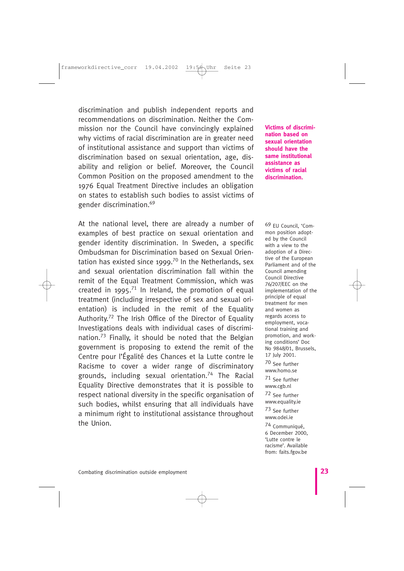discrimination and publish independent reports and recommendations on discrimination. Neither the Commission nor the Council have convincingly explained why victims of racial discrimination are in greater need of institutional assistance and support than victims of discrimination based on sexual orientation, age, disability and religion or belief. Moreover, the Council Common Position on the proposed amendment to the 1976 Equal Treatment Directive includes an obligation on states to establish such bodies to assist victims of gender discrimination.<sup>69</sup>

At the national level, there are already a number of examples of best practice on sexual orientation and gender identity discrimination. In Sweden, a specific Ombudsman for Discrimination based on Sexual Orientation has existed since 1999.<sup>70</sup> In the Netherlands, sex and sexual orientation discrimination fall within the remit of the Equal Treatment Commission, which was created in 1995.<sup>71</sup> In Ireland, the promotion of equal treatment (including irrespective of sex and sexual orientation) is included in the remit of the Equality Authority.<sup>72</sup> The Irish Office of the Director of Equality Investigations deals with individual cases of discrimination.<sup>73</sup> Finally, it should be noted that the Belgian government is proposing to extend the remit of the Centre pour l'Égalité des Chances et la Lutte contre le Racisme to cover a wider range of discriminatory grounds, including sexual orientation.<sup>74</sup> The Racial Equality Directive demonstrates that it is possible to respect national diversity in the specific organisation of such bodies, whilst ensuring that all individuals have a minimum right to institutional assistance throughout the Union.

**Victims of discrimination based on sexual orientation should have the same institutional assistance as victims of racial discrimination.**

69 EU Council, 'Common position adopted by the Council with a view to the adoption of a Directive of the European Parliament and of the Council amending Council Directive 76/207/EEC on the implementation of the principle of equal treatment for men and women as regards access to employment, vocational training and promotion, and working conditions' Doc No 9848/01, Brussels, 17 July 2001. 70 See further

www.homo.se

71 See further www.cgb.nl

72 See further www.equality.ie

73 See further www.odei.ie

74 Communiqué, 6 December 2000, 'Lutte contre le racisme'. Available from: faits.fgov.be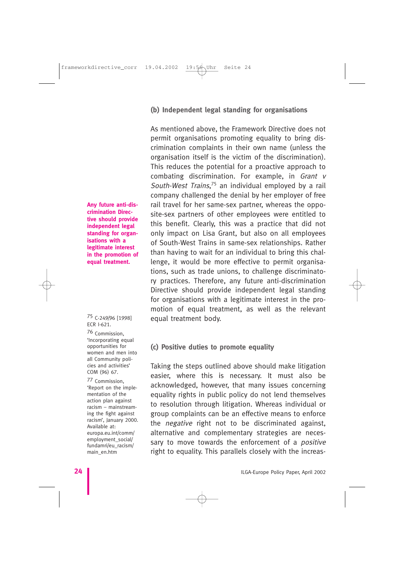#### **(b) Independent legal standing for organisations**

As mentioned above, the Framework Directive does not permit organisations promoting equality to bring discrimination complaints in their own name (unless the organisation itself is the victim of the discrimination). This reduces the potential for a proactive approach to combating discrimination. For example, in Grant v South-West Trains,<sup>75</sup> an individual employed by a rail company challenged the denial by her employer of free rail travel for her same-sex partner, whereas the opposite-sex partners of other employees were entitled to this benefit. Clearly, this was a practice that did not only impact on Lisa Grant, but also on all employees of South-West Trains in same-sex relationships. Rather than having to wait for an individual to bring this challenge, it would be more effective to permit organisations, such as trade unions, to challenge discriminatory practices. Therefore, any future anti-discrimination Directive should provide independent legal standing for organisations with a legitimate interest in the promotion of equal treatment, as well as the relevant equal treatment body.

#### **(c) Positive duties to promote equality**

Taking the steps outlined above should make litigation easier, where this is necessary. It must also be acknowledged, however, that many issues concerning equality rights in public policy do not lend themselves to resolution through litigation. Whereas individual or group complaints can be an effective means to enforce the negative right not to be discriminated against, alternative and complementary strategies are necessary to move towards the enforcement of a *positive* right to equality. This parallels closely with the increas-

**Any future anti-discrimination Directive should provide independent legal standing for organisations with a legitimate interest in the promotion of equal treatment.**

#### 75 C-249/96 [1998]ECR I-621.

76 Commission, 'Incorporating equal opportunities for women and men into all Community policies and activities' COM (96) 67.

77 Commission, 'Report on the implementation of the action plan against racism – mainstreaming the fight against racism', January 2000. Available at: europa.eu.int/comm/ employment\_social/ fundamri/eu\_racism/ main\_en.htm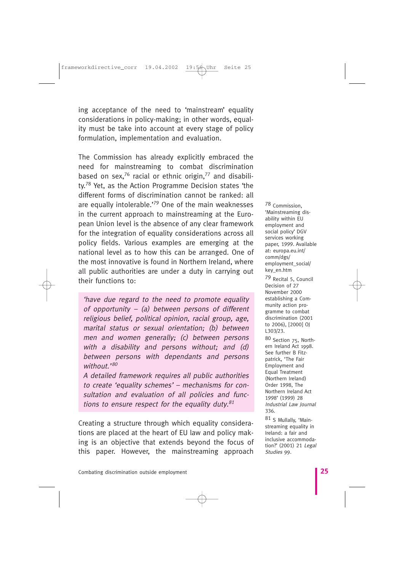ing acceptance of the need to 'mainstream' equality considerations in policy-making; in other words, equality must be take into account at every stage of policy formulation, implementation and evaluation.

The Commission has already explicitly embraced the need for mainstreaming to combat discrimination based on sex,<sup>76</sup> racial or ethnic origin,<sup>77</sup> and disability.<sup>78</sup> Yet, as the Action Programme Decision states 'the different forms of discrimination cannot be ranked: all are equally intolerable.<sup>'79</sup> One of the main weaknesses in the current approach to mainstreaming at the European Union level is the absence of any clear framework for the integration of equality considerations across all policy fields. Various examples are emerging at the national level as to how this can be arranged. One of the most innovative is found in Northern Ireland, where all public authorities are under a duty in carrying out their functions to:

'have due regard to the need to promote equality of opportunity  $-$  (a) between persons of different religious belief, political opinion, racial group, age, marital status or sexual orientation; (b) between men and women generally; (c) between persons with a disability and persons without; and (d) between persons with dependants and persons  $with$  $out$ ,  $80$ 

A detailed framework requires all public authorities to create 'equality schemes' – mechanisms for consultation and evaluation of all policies and functions to ensure respect for the equality duty. $81$ 

Creating a structure through which equality considerations are placed at the heart of EU law and policy making is an objective that extends beyond the focus of this paper. However, the mainstreaming approach

78 Commission, 'Mainstreaming disability within EU employment and social policy' DGV services working paper, 1999. Available at: europa.eu.int/ comm/dgs/ employment\_social/ key\_en.htm

79 Recital 5, Council Decision of 27 November 2000 establishing a Community action programme to combat discrimination (2001 to 2006), [2000] OJ L303/23.

80 Section 75, Northern Ireland Act 1998. See further B Fitzpatrick, 'The Fair Employment and Equal Treatment (Northern Ireland) Order 1998, The Northern Ireland Act 1998' (1999) 28 Industrial Law Journal 336.

81 S Mullally, 'Mainstreaming equality in Ireland: a fair and inclusive accommodation?' (2001) 21 Legal Studies 99.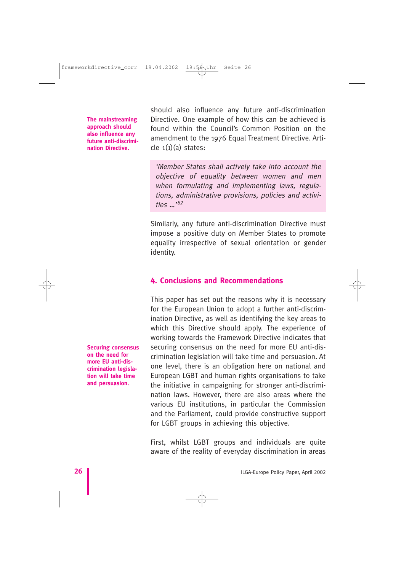**The mainstreaming approach should also influence any future anti-discrimination Directive.**

should also influence any future anti-discrimination Directive. One example of how this can be achieved is found within the Council's Common Position on the amendment to the 1976 Equal Treatment Directive. Article  $1(1)(a)$  states:

'Member States shall actively take into account the objective of equality between women and men when formulating and implementing laws, regulations, administrative provisions, policies and activities …'<sup>82</sup>

Similarly, any future anti-discrimination Directive must impose a positive duty on Member States to promote equality irrespective of sexual orientation or gender identity.

# **4. Conclusions and Recommendations**

This paper has set out the reasons why it is necessary for the European Union to adopt a further anti-discrimination Directive, as well as identifying the key areas to which this Directive should apply. The experience of working towards the Framework Directive indicates that securing consensus on the need for more EU anti-discrimination legislation will take time and persuasion. At one level, there is an obligation here on national and European LGBT and human rights organisations to take the initiative in campaigning for stronger anti-discrimination laws. However, there are also areas where the various EU institutions, in particular the Commission and the Parliament, could provide constructive support for LGBT groups in achieving this objective.

First, whilst LGBT groups and individuals are quite aware of the reality of everyday discrimination in areas

**Securing consensus on the need for more EU anti-discrimination legislation will take time and persuasion.**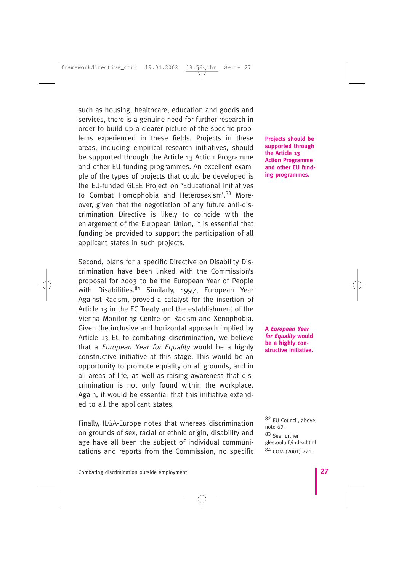such as housing, healthcare, education and goods and services, there is a genuine need for further research in order to build up a clearer picture of the specific problems experienced in these fields. Projects in these areas, including empirical research initiatives, should be supported through the Article 13 Action Programme and other EU funding programmes. An excellent example of the types of projects that could be developed is the EU-funded GLEE Project on 'Educational Initiatives to Combat Homophobia and Heterosexism'.<sup>83</sup> Moreover, given that the negotiation of any future anti-discrimination Directive is likely to coincide with the enlargement of the European Union, it is essential that funding be provided to support the participation of all applicant states in such projects.

Second, plans for a specific Directive on Disability Discrimination have been linked with the Commission's proposal for 2003 to be the European Year of People with Disabilities.<sup>84</sup> Similarly, 1997, European Year Against Racism, proved a catalyst for the insertion of Article 13 in the EC Treaty and the establishment of the Vienna Monitoring Centre on Racism and Xenophobia. Given the inclusive and horizontal approach implied by Article 13 EC to combating discrimination, we believe that a European Year for Equality would be a highly constructive initiative at this stage. This would be an opportunity to promote equality on all grounds, and in all areas of life, as well as raising awareness that discrimination is not only found within the workplace. Again, it would be essential that this initiative extended to all the applicant states.

Finally, ILGA-Europe notes that whereas discrimination on grounds of sex, racial or ethnic origin, disability and age have all been the subject of individual communications and reports from the Commission, no specific **Projects should be supported through the Article 13 Action Programme and other EU funding programmes.**

**A European Year for Equality would be a highly constructive initiative.**

82 EU Council, above note 69. 83 See further glee.oulu.fi/index.html 84 COM (2001) 271.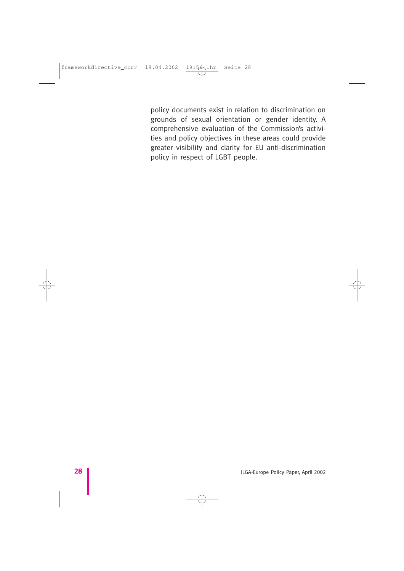policy documents exist in relation to discrimination on grounds of sexual orientation or gender identity. A comprehensive evaluation of the Commission's activities and policy objectives in these areas could provide greater visibility and clarity for EU anti-discrimination policy in respect of LGBT people.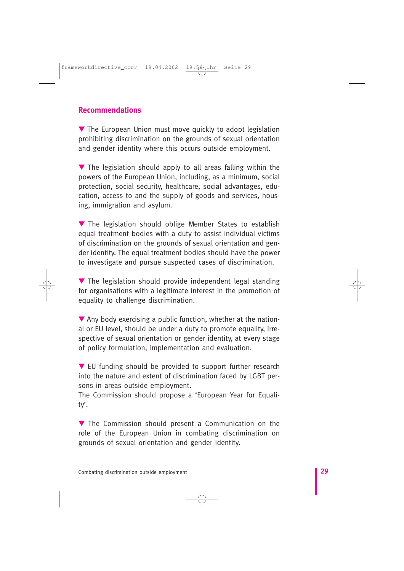## **Recommendations**

▼ The European Union must move quickly to adopt legislation prohibiting discrimination on the grounds of sexual orientation and gender identity where this occurs outside employment.

▼ The legislation should apply to all areas falling within the powers of the European Union, including, as a minimum, social protection, social security, healthcare, social advantages, education, access to and the supply of goods and services, housing, immigration and asylum.

▼ The legislation should oblige Member States to establish equal treatment bodies with a duty to assist individual victims of discrimination on the grounds of sexual orientation and gender identity. The equal treatment bodies should have the power to investigate and pursue suspected cases of discrimination.

▼ The legislation should provide independent legal standing for organisations with a legitimate interest in the promotion of equality to challenge discrimination.

 $\nabla$  Any body exercising a public function, whether at the national or EU level, should be under a duty to promote equality, irrespective of sexual orientation or gender identity, at every stage of policy formulation, implementation and evaluation.

▼ EU funding should be provided to support further research into the nature and extent of discrimination faced by LGBT persons in areas outside employment.

The Commission should propose a 'European Year for Equality'.

▼ The Commission should present a Communication on the role of the European Union in combating discrimination on grounds of sexual orientation and gender identity.